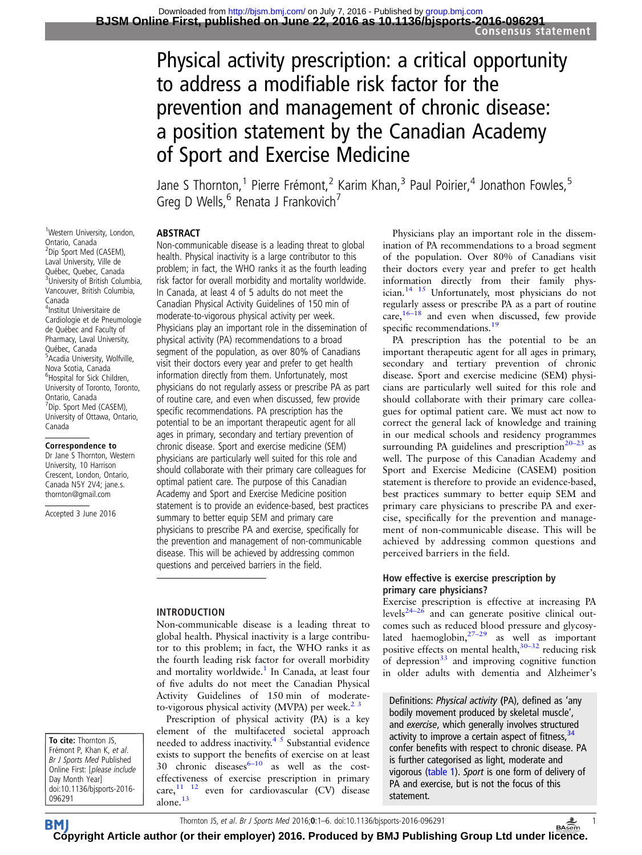# Physical activity prescription: a critical opportunity to address a modifiable risk factor for the prevention and management of chronic disease: a position statement by the Canadian Academy of Sport and Exercise Medicine

Jane S Thornton,<sup>1</sup> Pierre Frémont,<sup>2</sup> Karim Khan,<sup>3</sup> Paul Poirier,<sup>4</sup> Jonathon Fowles,<sup>5</sup> Greg D Wells,  $6$  Renata J Frankovich<sup>7</sup>

#### ABSTRACT

<sup>1</sup>Western University, London, Ontario, Canada <sup>2</sup>Dip Sport Med (CASEM), Laval University, Ville de Québec, Quebec, Canada 3 University of British Columbia, Vancouver, British Columbia, Canada 4 Institut Universitaire de Cardiologie et de Pneumologie de Québec and Faculty of Pharmacy, Laval University, Québec, Canada 5 Acadia University, Wolfville, Nova Scotia, Canada <sup>6</sup>Hospital for Sick Children, University of Toronto, Toronto, Ontario, Canada <sup>7</sup> Dip. Sport Med (CASEM), University of Ottawa, Ontario, Canada

Correspondence to Dr Jane S Thornton, Western University, 10 Harrison Crescent, London, Ontario, Canada N5Y 2V4; jane.s. thornton@gmail.com

Accepted 3 June 2016

Non-communicable disease is a leading threat to global health. Physical inactivity is a large contributor to this problem; in fact, the WHO ranks it as the fourth leading risk factor for overall morbidity and mortality worldwide. In Canada, at least 4 of 5 adults do not meet the Canadian Physical Activity Guidelines of 150 min of moderate-to-vigorous physical activity per week. Physicians play an important role in the dissemination of physical activity (PA) recommendations to a broad segment of the population, as over 80% of Canadians visit their doctors every year and prefer to get health information directly from them. Unfortunately, most physicians do not regularly assess or prescribe PA as part of routine care, and even when discussed, few provide specific recommendations. PA prescription has the potential to be an important therapeutic agent for all ages in primary, secondary and tertiary prevention of chronic disease. Sport and exercise medicine (SEM) physicians are particularly well suited for this role and should collaborate with their primary care colleagues for optimal patient care. The purpose of this Canadian Academy and Sport and Exercise Medicine position statement is to provide an evidence-based, best practices summary to better equip SEM and primary care physicians to prescribe PA and exercise, specifically for the prevention and management of non-communicable disease. This will be achieved by addressing common questions and perceived barriers in the field.

#### INTRODUCTION

Non-communicable disease is a leading threat to global health. Physical inactivity is a large contributor to this problem; in fact, the WHO ranks it as the fourth leading risk factor for overall morbidity and mortality worldwide.<sup>1</sup> In Canada, at least four of five adults do not meet the Canadian Physical Activity Guidelines of 150 min of moderateto-vigorous physical activity (MVPA) per week. $2<sup>3</sup>$ 

Prescription of physical activity (PA) is a key element of the multifaceted societal approach needed to address inactivity. $4 \times 5$  Substantial evidence exists to support the benefits of exercise on at least 30 chronic diseases<sup>6-[10](#page-4-0)</sup> as well as the costeffectiveness of exercise prescription in primary care, $11$ <sup>12</sup> even for cardiovascular (CV) disease alone[.13](#page-4-0)

Physicians play an important role in the dissemination of PA recommendations to a broad segment of the population. Over 80% of Canadians visit their doctors every year and prefer to get health information directly from their family physician.[14 15](#page-4-0) Unfortunately, most physicians do not regularly assess or prescribe PA as a part of routine care,<sup>16–18</sup> and even when discussed, few provide specific recommendations.<sup>[19](#page-4-0)</sup>

PA prescription has the potential to be an important therapeutic agent for all ages in primary, secondary and tertiary prevention of chronic disease. Sport and exercise medicine (SEM) physicians are particularly well suited for this role and should collaborate with their primary care colleagues for optimal patient care. We must act now to correct the general lack of knowledge and training in our medical schools and residency programmes surrounding PA guidelines and prescription $20-23$  $20-23$  as well. The purpose of this Canadian Academy and Sport and Exercise Medicine (CASEM) position statement is therefore to provide an evidence-based, best practices summary to better equip SEM and primary care physicians to prescribe PA and exercise, specifically for the prevention and management of non-communicable disease. This will be achieved by addressing common questions and perceived barriers in the field.

# How effective is exercise prescription by primary care physicians?

Exercise prescription is effective at increasing PA levels<sup>[24](#page-4-0)–26</sup> and can generate positive clinical outcomes such as reduced blood pressure and glycosylated haemoglobin, $27-29$  $27-29$  as well as important positive effects on mental health, $30-32$  $30-32$  reducing risk of depression<sup>33</sup> and improving cognitive function in older adults with dementia and Alzheimer's

Definitions: Physical activity (PA), defined as 'any bodily movement produced by skeletal muscle', and exercise, which generally involves structured activity to improve a certain aspect of fitness,  $34$ confer benefits with respect to chronic disease. PA is further categorised as light, moderate and vigorous [\(table 1](#page-2-0)). Sport is one form of delivery of PA and exercise, but is not the focus of this statement.

To cite: Thornton JS, Frémont P, Khan K, et al. Br J Sports Med Published Online First: [please include Day Month Year] doi:10.1136/bjsports-2016- 096291

**BM [Cop](http://bjsm.bmj.com)yright Article author (or their employer) 2016. Produced by BMJ Publishing Group Ltd under li[cenc](http://www.basem.co.uk/)e.**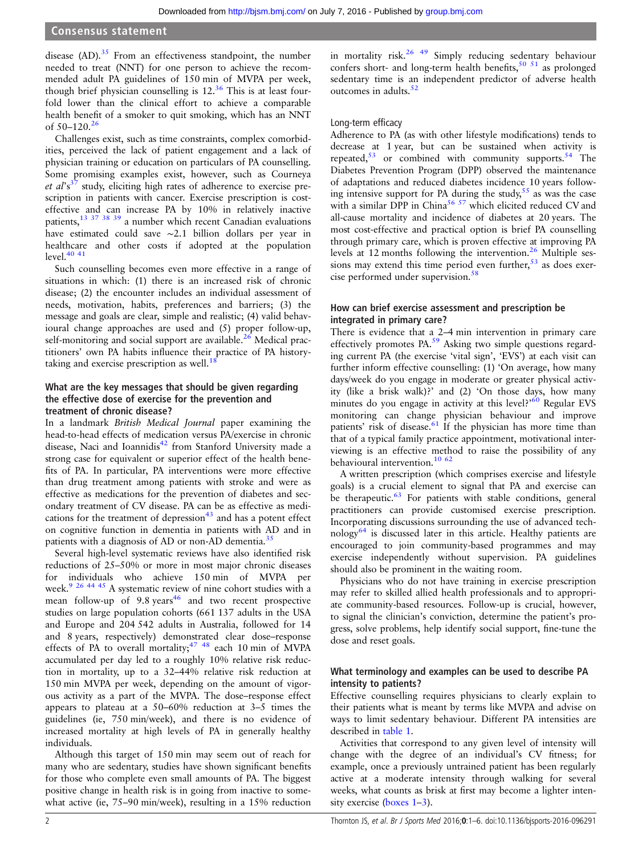#### Consensus statement

disease  $(AD)$ .<sup>[35](#page-4-0)</sup> From an effectiveness standpoint, the number needed to treat (NNT) for one person to achieve the recommended adult PA guidelines of 150 min of MVPA per week, though brief physician counselling is  $12<sup>36</sup>$  $12<sup>36</sup>$  $12<sup>36</sup>$  This is at least fourfold lower than the clinical effort to achieve a comparable health benefit of a smoker to quit smoking, which has an NNT of  $50-120^{26}$  $50-120^{26}$  $50-120^{26}$ 

Challenges exist, such as time constraints, complex comorbidities, perceived the lack of patient engagement and a lack of physician training or education on particulars of PA counselling. Some promising examples exist, however, such as Courneya et  $al's^{37}$  $al's^{37}$  $al's^{37}$  study, eliciting high rates of adherence to exercise prescription in patients with cancer. Exercise prescription is costeffective and can increase PA by 10% in relatively inactive patients,[13 37 38 39](#page-4-0) a number which recent Canadian evaluations have estimated could save ∼2.1 billion dollars per year in healthcare and other costs if adopted at the population  $level.<sup>40</sup>$ <sup>41</sup>

Such counselling becomes even more effective in a range of situations in which: (1) there is an increased risk of chronic disease; (2) the encounter includes an individual assessment of needs, motivation, habits, preferences and barriers; (3) the message and goals are clear, simple and realistic; (4) valid behavioural change approaches are used and (5) proper follow-up, self-monitoring and social support are available.<sup>[26](#page-4-0)</sup> Medical practitioners' own PA habits influence their practice of PA history-taking and exercise prescription as well.<sup>[18](#page-4-0)</sup>

#### What are the key messages that should be given regarding the effective dose of exercise for the prevention and treatment of chronic disease?

In a landmark British Medical Journal paper examining the head-to-head effects of medication versus PA/exercise in chronic disease, Naci and Ioannidis<sup>42</sup> from Stanford University made a strong case for equivalent or superior effect of the health benefits of PA. In particular, PA interventions were more effective than drug treatment among patients with stroke and were as effective as medications for the prevention of diabetes and secondary treatment of CV disease. PA can be as effective as medications for the treatment of depression $43$  and has a potent effect on cognitive function in dementia in patients with AD and in patients with a diagnosis of AD or non-AD dementia.<sup>3</sup>

Several high-level systematic reviews have also identified risk reductions of 25–50% or more in most major chronic diseases for individuals who achieve 150 min of MVPA per week.<sup>[9 26 44 45](#page-4-0)</sup> A systematic review of nine cohort studies with a mean follow-up of  $9.8$  years<sup>[46](#page-5-0)</sup> and two recent prospective studies on large population cohorts (661 137 adults in the USA and Europe and 204 542 adults in Australia, followed for 14 and 8 years, respectively) demonstrated clear dose–response effects of PA to overall mortality;<sup>[47 48](#page-5-0)</sup> each 10 min of MVPA accumulated per day led to a roughly 10% relative risk reduction in mortality, up to a 32–44% relative risk reduction at 150 min MVPA per week, depending on the amount of vigorous activity as a part of the MVPA. The dose–response effect appears to plateau at a 50–60% reduction at 3–5 times the guidelines (ie, 750 min/week), and there is no evidence of increased mortality at high levels of PA in generally healthy individuals.

Although this target of 150 min may seem out of reach for many who are sedentary, studies have shown significant benefits for those who complete even small amounts of PA. The biggest positive change in health risk is in going from inactive to somewhat active (ie, 75–90 min/week), resulting in a 15% reduction

in mortality risk.<sup>[26](#page-4-0)</sup> <sup>49</sup> Simply reducing sedentary behaviour confers short- and long-term health benefits,  $50\,51$  as prolonged sedentary time is an independent predictor of adverse health outcomes in adults.<sup>[52](#page-5-0)</sup>

#### Long-term efficacy

Adherence to PA (as with other lifestyle modifications) tends to decrease at 1 year, but can be sustained when activity is repeated, $53$  or combined with community supports. <sup>[54](#page-5-0)</sup> The Diabetes Prevention Program (DPP) observed the maintenance of adaptations and reduced diabetes incidence 10 years following intensive support for PA during the study,  $55$  as was the case with a similar DPP in China<sup>[56 57](#page-5-0)</sup> which elicited reduced CV and all-cause mortality and incidence of diabetes at 20 years. The most cost-effective and practical option is brief PA counselling through primary care, which is proven effective at improving PA levels at 12 months following the intervention. $26$  Multiple sessions may extend this time period even further,  $53$  as does exercise performed under supervision. $58$ 

## How can brief exercise assessment and prescription be integrated in primary care?

There is evidence that a 2–4 min intervention in primary care effectively promotes PA.<sup>[59](#page-5-0)</sup> Asking two simple questions regarding current PA (the exercise 'vital sign', 'EVS') at each visit can further inform effective counselling: (1) 'On average, how many days/week do you engage in moderate or greater physical activity (like a brisk walk)?' and (2) 'On those days, how many minutes do you engage in activity at this level?'<sup>[60](#page-5-0)</sup> Regular EVS monitoring can change physician behaviour and improve patients' risk of disease.<sup>61</sup> If the physician has more time than that of a typical family practice appointment, motivational interviewing is an effective method to raise the possibility of any behavioural intervention.<sup>[10](#page-4-0) [62](#page-5-0)</sup>

A written prescription (which comprises exercise and lifestyle goals) is a crucial element to signal that PA and exercise can be therapeutic. $63$  For patients with stable conditions, general practitioners can provide customised exercise prescription. Incorporating discussions surrounding the use of advanced technology[64](#page-5-0) is discussed later in this article. Healthy patients are encouraged to join community-based programmes and may exercise independently without supervision. PA guidelines should also be prominent in the waiting room.

Physicians who do not have training in exercise prescription may refer to skilled allied health professionals and to appropriate community-based resources. Follow-up is crucial, however, to signal the clinician's conviction, determine the patient's progress, solve problems, help identify social support, fine-tune the dose and reset goals.

#### What terminology and examples can be used to describe PA intensity to patients?

Effective counselling requires physicians to clearly explain to their patients what is meant by terms like MVPA and advise on ways to limit sedentary behaviour. Different PA intensities are described in [table 1](#page-2-0).

Activities that correspond to any given level of intensity will change with the degree of an individual's CV fitness; for example, once a previously untrained patient has been regularly active at a moderate intensity through walking for several weeks, what counts as brisk at first may become a lighter intensity exercise ([boxes 1](#page-2-0)–[3](#page-3-0)).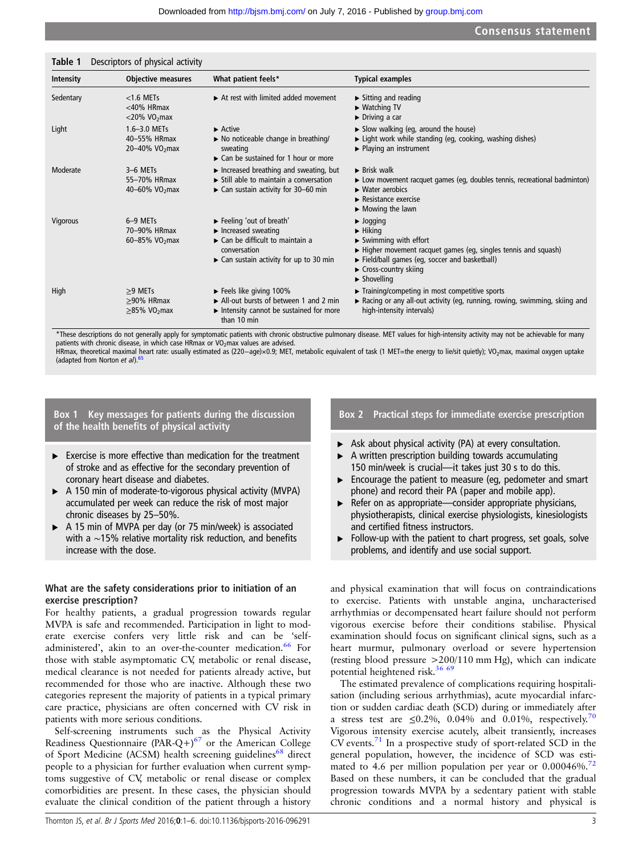<span id="page-2-0"></span>

| Intensity | <b>Objective measures</b>                                    | What patient feels*                                                                                                                                                                              | <b>Typical examples</b>                                                                                                                                                                                                                                                                                                    |
|-----------|--------------------------------------------------------------|--------------------------------------------------------------------------------------------------------------------------------------------------------------------------------------------------|----------------------------------------------------------------------------------------------------------------------------------------------------------------------------------------------------------------------------------------------------------------------------------------------------------------------------|
| Sedentary | $<$ 1.6 METs<br>$<$ 40% HRmax<br>$<$ 20% VO <sub>2</sub> max | $\triangleright$ At rest with limited added movement                                                                                                                                             | $\triangleright$ Sitting and reading<br>$\blacktriangleright$ Watching TV<br>$\triangleright$ Driving a car                                                                                                                                                                                                                |
| Light     | 1.6-3.0 METs<br>40-55% HRmax<br>20-40% VO <sub>2</sub> max   | $\blacktriangleright$ Active<br>$\triangleright$ No noticeable change in breathing/<br>sweating<br>$\triangleright$ Can be sustained for 1 hour or more                                          | $\triangleright$ Slow walking (eg, around the house)<br>$\triangleright$ Light work while standing (eg, cooking, washing dishes)<br>$\blacktriangleright$ Playing an instrument                                                                                                                                            |
| Moderate  | 3-6 METs<br>55-70% HRmax<br>40-60% VO <sub>2</sub> max       | $\blacktriangleright$ Increased breathing and sweating, but<br>$\triangleright$ Still able to maintain a conversation<br>$\triangleright$ Can sustain activity for 30–60 min                     | $\triangleright$ Brisk walk<br>• Low movement racquet games (eg, doubles tennis, recreational badminton)<br>$\blacktriangleright$ Water aerobics<br>$\blacktriangleright$ Resistance exercise<br>$\blacktriangleright$ Mowing the lawn                                                                                     |
| Vigorous  | 6-9 METs<br>70-90% HRmax<br>60-85% $VO_2$ max                | Feeling 'out of breath'<br>$\blacktriangleright$ Increased sweating<br>$\triangleright$ Can be difficult to maintain a<br>conversation<br>$\triangleright$ Can sustain activity for up to 30 min | $\blacktriangleright$ Jogging<br>$\blacktriangleright$ Hiking<br>$\triangleright$ Swimming with effort<br>$\blacktriangleright$ Higher movement racquet games (eg, singles tennis and squash)<br>Field/ball games (eg, soccer and basketball)<br>$\triangleright$ Cross-country skiing<br>$\blacktriangleright$ Shovelling |
| High      | >9 METs<br>$>90\%$ HRmax<br>$\geq$ 85% VO <sub>2</sub> max   | $\blacktriangleright$ Feels like giving 100%<br>All-out bursts of between 1 and 2 min<br>$\blacktriangleright$ Intensity cannot be sustained for more<br>than 10 min                             | Training/competing in most competitive sports<br>Racing or any all-out activity (eg, running, rowing, swimming, skiing and<br>high-intensity intervals)                                                                                                                                                                    |

HRmax, theoretical maximal heart rate: usually estimated as (220−age)×0.9; MET, metabolic equivalent of task (1 MET=the energy to lie/sit quietly); VO2max, maximal oxygen uptake (adapted from Norton et al). $65$ 

# Box 1 Key messages for patients during the discussion of the health benefits of physical activity

- ▶ Exercise is more effective than medication for the treatment of stroke and as effective for the secondary prevention of coronary heart disease and diabetes.
- ▶ A 150 min of moderate-to-vigorous physical activity (MVPA) accumulated per week can reduce the risk of most major chronic diseases by 25–50%.
- ▶ A 15 min of MVPA per day (or 75 min/week) is associated with a ∼15% relative mortality risk reduction, and benefits increase with the dose.

# What are the safety considerations prior to initiation of an exercise prescription?

For healthy patients, a gradual progression towards regular MVPA is safe and recommended. Participation in light to moderate exercise confers very little risk and can be 'self-administered', akin to an over-the-counter medication.<sup>[66](#page-5-0)</sup> For those with stable asymptomatic CV, metabolic or renal disease, medical clearance is not needed for patients already active, but recommended for those who are inactive. Although these two categories represent the majority of patients in a typical primary care practice, physicians are often concerned with CV risk in patients with more serious conditions.

Self-screening instruments such as the Physical Activity Readiness Questionnaire (PAR-Q+) $67$  or the American College of Sport Medicine (ACSM) health screening guidelines<sup>[68](#page-5-0)</sup> direct people to a physician for further evaluation when current symptoms suggestive of CV, metabolic or renal disease or complex comorbidities are present. In these cases, the physician should evaluate the clinical condition of the patient through a history

# Box 2 Practical steps for immediate exercise prescription

- $\triangleright$  Ask about physical activity (PA) at every consultation.
- A written prescription building towards accumulating 150 min/week is crucial—it takes just 30 s to do this.
- ▸ Encourage the patient to measure (eg, pedometer and smart phone) and record their PA (paper and mobile app).
- ▶ Refer on as appropriate—consider appropriate physicians, physiotherapists, clinical exercise physiologists, kinesiologists and certified fitness instructors.
- $\blacktriangleright$  Follow-up with the patient to chart progress, set goals, solve problems, and identify and use social support.

and physical examination that will focus on contraindications to exercise. Patients with unstable angina, uncharacterised arrhythmias or decompensated heart failure should not perform vigorous exercise before their conditions stabilise. Physical examination should focus on significant clinical signs, such as a heart murmur, pulmonary overload or severe hypertension (resting blood pressure >200/110 mm Hg), which can indicate potential heightened risk[.36](#page-4-0) [69](#page-5-0)

The estimated prevalence of complications requiring hospitalisation (including serious arrhythmias), acute myocardial infarction or sudden cardiac death (SCD) during or immediately after a stress test are  $\leq 0.2\%$ , 0.04% and 0.01%, respectively.<sup>[70](#page-5-0)</sup> Vigorous intensity exercise acutely, albeit transiently, increases CV events[.71](#page-5-0) In a prospective study of sport-related SCD in the general population, however, the incidence of SCD was estimated to 4.6 per million population per year or  $0.00046\%$ .<sup>[72](#page-5-0)</sup> Based on these numbers, it can be concluded that the gradual progression towards MVPA by a sedentary patient with stable chronic conditions and a normal history and physical is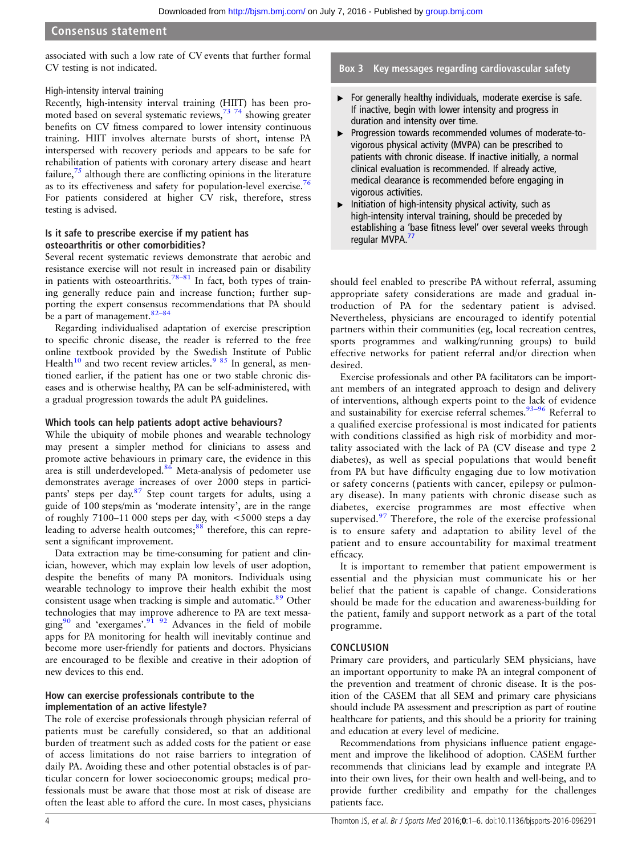# <span id="page-3-0"></span>Consensus statement

associated with such a low rate of CV events that further formal CV testing is not indicated.

#### High-intensity interval training

Recently, high-intensity interval training (HIIT) has been promoted based on several systematic reviews,<sup>73</sup> 74 showing greater benefits on CV fitness compared to lower intensity continuous training. HIIT involves alternate bursts of short, intense PA interspersed with recovery periods and appears to be safe for rehabilitation of patients with coronary artery disease and heart failure, $\frac{75}{10}$  $\frac{75}{10}$  $\frac{75}{10}$  although there are conflicting opinions in the literature as to its effectiveness and safety for population-level exercise.<sup>76</sup> For patients considered at higher CV risk, therefore, stress testing is advised.

## Is it safe to prescribe exercise if my patient has osteoarthritis or other comorbidities?

Several recent systematic reviews demonstrate that aerobic and resistance exercise will not result in increased pain or disability in patients with osteoarthritis.<sup>[78](#page-5-0)–81</sup> In fact, both types of training generally reduce pain and increase function; further supporting the expert consensus recommendations that PA should be a part of management.<sup>[82](#page-5-0)–84</sup>

Regarding individualised adaptation of exercise prescription to specific chronic disease, the reader is referred to the free online textbook provided by the Swedish Institute of Public Health<sup>[10](#page-4-0)</sup> and two recent review articles.<sup>[9](#page-4-0) [85](#page-5-0)</sup> In general, as mentioned earlier, if the patient has one or two stable chronic diseases and is otherwise healthy, PA can be self-administered, with a gradual progression towards the adult PA guidelines.

#### Which tools can help patients adopt active behaviours?

While the ubiquity of mobile phones and wearable technology may present a simpler method for clinicians to assess and promote active behaviours in primary care, the evidence in this area is still underdeveloped.<sup>86</sup> Meta-analysis of pedometer use demonstrates average increases of over 2000 steps in partici-pants' steps per day.<sup>[87](#page-5-0)</sup> Step count targets for adults, using a guide of 100 steps/min as 'moderate intensity', are in the range of roughly 7100–11 000 steps per day, with <5000 steps a day leading to adverse health outcomes;  $88$  therefore, this can represent a significant improvement.

Data extraction may be time-consuming for patient and clinician, however, which may explain low levels of user adoption, despite the benefits of many PA monitors. Individuals using wearable technology to improve their health exhibit the most consistent usage when tracking is simple and automatic.<sup>[89](#page-5-0)</sup> Other technologies that may improve adherence to PA are text messa-ging<sup>[90](#page-5-0)</sup> and 'exergames'.<sup>91</sup> <sup>92</sup> Advances in the field of mobile apps for PA monitoring for health will inevitably continue and become more user-friendly for patients and doctors. Physicians are encouraged to be flexible and creative in their adoption of new devices to this end.

#### How can exercise professionals contribute to the implementation of an active lifestyle?

The role of exercise professionals through physician referral of patients must be carefully considered, so that an additional burden of treatment such as added costs for the patient or ease of access limitations do not raise barriers to integration of daily PA. Avoiding these and other potential obstacles is of particular concern for lower socioeconomic groups; medical professionals must be aware that those most at risk of disease are often the least able to afford the cure. In most cases, physicians

#### Box 3 Key messages regarding cardiovascular safety

- $\blacktriangleright$  For generally healthy individuals, moderate exercise is safe. If inactive, begin with lower intensity and progress in duration and intensity over time.
- ▸ Progression towards recommended volumes of moderate-tovigorous physical activity (MVPA) can be prescribed to patients with chronic disease. If inactive initially, a normal clinical evaluation is recommended. If already active, medical clearance is recommended before engaging in vigorous activities.
- $\blacktriangleright$  Initiation of high-intensity physical activity, such as high-intensity interval training, should be preceded by establishing a 'base fitness level' over several weeks through regular MVPA.<sup>[77](#page-5-0)</sup>

should feel enabled to prescribe PA without referral, assuming appropriate safety considerations are made and gradual introduction of PA for the sedentary patient is advised. Nevertheless, physicians are encouraged to identify potential partners within their communities (eg, local recreation centres, sports programmes and walking/running groups) to build effective networks for patient referral and/or direction when desired.

Exercise professionals and other PA facilitators can be important members of an integrated approach to design and delivery of interventions, although experts point to the lack of evidence and sustainability for exercise referral schemes.<sup>93-96</sup> Referral to a qualified exercise professional is most indicated for patients with conditions classified as high risk of morbidity and mortality associated with the lack of PA (CV disease and type 2 diabetes), as well as special populations that would benefit from PA but have difficulty engaging due to low motivation or safety concerns ( patients with cancer, epilepsy or pulmonary disease). In many patients with chronic disease such as diabetes, exercise programmes are most effective when supervised.<sup>[97](#page-5-0)</sup> Therefore, the role of the exercise professional is to ensure safety and adaptation to ability level of the patient and to ensure accountability for maximal treatment efficacy.

It is important to remember that patient empowerment is essential and the physician must communicate his or her belief that the patient is capable of change. Considerations should be made for the education and awareness-building for the patient, family and support network as a part of the total programme.

#### **CONCLUSION**

Primary care providers, and particularly SEM physicians, have an important opportunity to make PA an integral component of the prevention and treatment of chronic disease. It is the position of the CASEM that all SEM and primary care physicians should include PA assessment and prescription as part of routine healthcare for patients, and this should be a priority for training and education at every level of medicine.

Recommendations from physicians influence patient engagement and improve the likelihood of adoption. CASEM further recommends that clinicians lead by example and integrate PA into their own lives, for their own health and well-being, and to provide further credibility and empathy for the challenges patients face.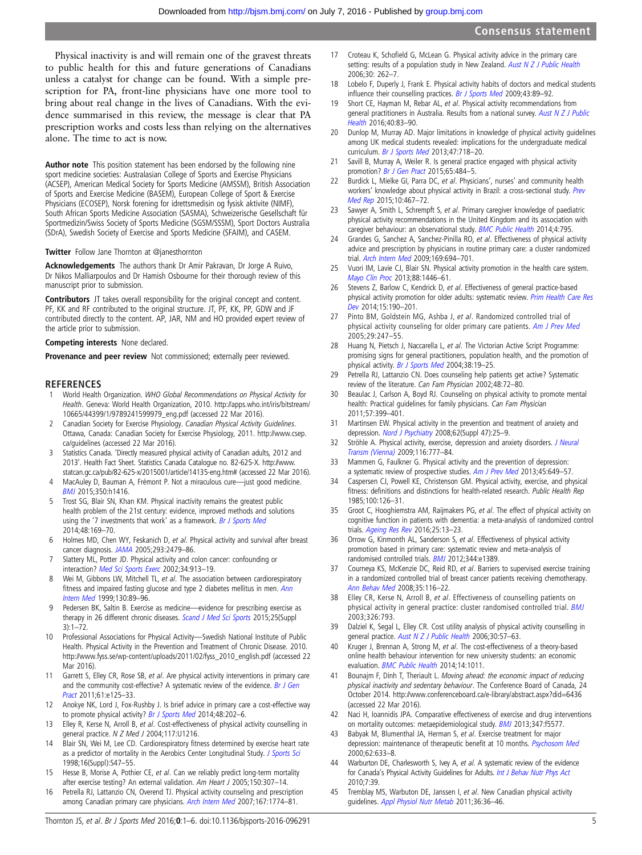<span id="page-4-0"></span>Physical inactivity is and will remain one of the gravest threats to public health for this and future generations of Canadians unless a catalyst for change can be found. With a simple prescription for PA, front-line physicians have one more tool to bring about real change in the lives of Canadians. With the evidence summarised in this review, the message is clear that PA prescription works and costs less than relying on the alternatives alone. The time to act is now.

Author note This position statement has been endorsed by the following nine sport medicine societies: Australasian College of Sports and Exercise Physicians (ACSEP), American Medical Society for Sports Medicine (AMSSM), British Association of Sports and Exercise Medicine (BASEM), European College of Sport & Exercise Physicians (ECOSEP), Norsk forening for idrettsmedisin og fysisk aktivite (NIMF), South African Sports Medicine Association (SASMA), Schweizerische Gesellschaft für Sportmedizin/Swiss Society of Sports Medicine (SGSM/SSSM), Sport Doctors Australia (SDrA), Swedish Society of Exercise and Sports Medicine (SFAIM), and CASEM.

Twitter Follow Jane Thornton at [@janesthornton](http://twitter.com/janesthornton)

Acknowledgements The authors thank Dr Amir Pakravan, Dr Jorge A Ruivo, Dr Nikos Malliarpoulos and Dr Hamish Osbourne for their thorough review of this manuscript prior to submission.

Contributors JT takes overall responsibility for the original concept and content. PF, KK and RF contributed to the original structure. JT, PF, KK, PP, GDW and JF contributed directly to the content. AP, JAR, NM and HO provided expert review of the article prior to submission.

#### Competing interests None declared.

Provenance and peer review Not commissioned; externally peer reviewed.

#### **REFERENCES**

- 1 World Health Organization. WHO Global Recommendations on Physical Activity for Health. Geneva: World Health Organization, 2010. [http://apps.who.int/iris/bitstream/](http://apps.who.int/iris/bitstream/10665/44399/1/9789241599979_eng.pdf) [10665/44399/1/9789241599979\\_eng.pdf](http://apps.who.int/iris/bitstream/10665/44399/1/9789241599979_eng.pdf) (accessed 22 Mar 2016).
- 2 Canadian Society for Exercise Physiology. Canadian Physical Activity Guidelines. Ottawa, Canada: Canadian Society for Exercise Physiology, 2011. [http://www.csep.](http://www.csep.ca/guidelines) [ca/guidelines](http://www.csep.ca/guidelines) (accessed 22 Mar 2016).
- 3 Statistics Canada. 'Directly measured physical activity of Canadian adults, 2012 and 2013'. Health Fact Sheet. Statistics Canada Catalogue no. 82-625-X. [http://www.](http://www.statcan.gc.ca/pub/82-625-x/2015001/article/14135-eng.htm#) [statcan.gc.ca/pub/82-625-x/2015001/article/14135-eng.htm#](http://www.statcan.gc.ca/pub/82-625-x/2015001/article/14135-eng.htm#) (accessed 22 Mar 2016).
- 4 MacAuley D, Bauman A, Frémont P. Not a miraculous cure—just good medicine. [BMJ](http://dx.doi.org/10.1136/bmj.h1416) 2015;350:h1416.
- 5 Trost SG, Blair SN, Khan KM. Physical inactivity remains the greatest public health problem of the 21st century: evidence, improved methods and solutions using the '7 investments that work' as a framework. [Br J Sports Med](http://dx.doi.org/10.1136/bjsports-2013-093372) 2014;48:169–70.
- 6 Holmes MD, Chen WY, Feskanich D, et al. Physical activity and survival after breast cancer diagnosis. [JAMA](http://dx.doi.org/10.1001/jama.293.20.2479) 2005;293:2479–86.
- 7 Slattery ML, Potter JD. Physical activity and colon cancer: confounding or interaction? [Med Sci Sports Exerc](http://dx.doi.org/10.1097/00005768-200206000-00002) 2002;34:913-19.
- 8 Wei M, Gibbons LW, Mitchell TL, et al. The association between cardiorespiratory fitness and impaired fasting glucose and type 2 diabetes mellitus in men. [Ann](http://dx.doi.org/10.7326/0003-4819-130-2-199901190-00002) [Intern Med](http://dx.doi.org/10.7326/0003-4819-130-2-199901190-00002) 1999;130:89–96.
- 9 Pedersen BK, Saltin B. Exercise as medicine—evidence for prescribing exercise as therapy in 26 different chronic diseases. [Scand J Med Sci Sports](http://dx.doi.org/10.1111/sms.12581) 2015;25(Suppl 3):1–72.
- 10 Professional Associations for Physical Activity—Swedish National Institute of Public Health. Physical Activity in the Prevention and Treatment of Chronic Disease. 2010. [http://www.fyss.se/wp-content/uploads/2011/02/fyss\\_2010\\_english.pdf](http://www.fyss.se/wp-content/uploads/2011/02/fyss_2010_english.pdf) (accessed 22 Mar 2016).
- 11 Garrett S, Elley CR, Rose SB, et al. Are physical activity interventions in primary care and the community cost-effective? A systematic review of the evidence. [Br J Gen](http://dx.doi.org/10.3399/bjgp11X561249) [Pract](http://dx.doi.org/10.3399/bjgp11X561249) 2011;61:e125–33.
- 12 Anokye NK, Lord J, Fox-Rushby J. Is brief advice in primary care a cost-effective way to promote physical activity? [Br J Sports Med](http://dx.doi.org/10.1136/bjsports-2013-092897) 2014;48:202-6.
- 13 Elley R, Kerse N, Arroll B, et al. Cost-effectiveness of physical activity counselling in general practice. N Z Med J 2004;117:U1216.
- 14 Blair SN, Wei M, Lee CD. Cardiorespiratory fitness determined by exercise heart rate as a predictor of mortality in the Aerobics Center Longitudinal Study. [J Sports Sci](http://dx.doi.org/10.1080/026404198366678) 1998;16(Suppl):S47–55.
- 15 Hesse B, Morise A, Pothier CE, et al. Can we reliably predict long-term mortality after exercise testing? An external validation. Am Heart J 2005;150:307-14.
- 16 Petrella RJ, Lattanzio CN, Overend TJ. Physical activity counseling and prescription among Canadian primary care physicians. [Arch Intern Med](http://dx.doi.org/10.1001/archinte.167.16.1774) 2007;167:1774–81.
- Thornton JS, et al. Br J Sports Med 2016;0:1–6. doi:10.1136/bjsports-2016-096291 5
- 17 Croteau K, Schofield G, McLean G. Physical activity advice in the primary care setting: results of a population study in New Zealand. [Aust N Z J Public Health](http://dx.doi.org/10.1111/j.1467-842X.2006.tb00868.x) 2006;30: 262–7.
- 18 Lobelo F, Duperly J, Frank E. Physical activity habits of doctors and medical students influence their counselling practices. [Br J Sports Med](http://dx.doi.org/10.1136/bjsm.2008.055426) 2009;43:89-92.
- 19 Short CE, Hayman M, Rebar AL, et al. Physical activity recommendations from general practitioners in Australia. Results from a national survey. [Aust N Z J Public](http://dx.doi.org/10.1111/1753-6405.12455) [Health](http://dx.doi.org/10.1111/1753-6405.12455) 2016;40:83–90.
- 20 Dunlop M, Murray AD. Major limitations in knowledge of physical activity guidelines among UK medical students revealed: implications for the undergraduate medical curriculum. [Br J Sports Med](http://dx.doi.org/10.1136/bjsports-2012-091891) 2013;47:718-20.
- 21 Savill B, Murray A, Weiler R. Is general practice engaged with physical activity promotion? [Br J Gen Pract](http://dx.doi.org/10.3399/bjgp15X686677) 2015;65:484-5.
- 22 Burdick L, Mielke GI, Parra DC, et al. Physicians', nurses' and community health workers' knowledge about physical activity in Brazil: a cross-sectional study. [Prev](http://dx.doi.org/10.1016/j.pmedr.2015.06.001) [Med Rep](http://dx.doi.org/10.1016/j.pmedr.2015.06.001) 2015;10:467–72.
- 23 Sawyer A, Smith L, Schrempft S, et al. Primary caregiver knowledge of paediatric physical activity recommendations in the United Kingdom and its association with caregiver behaviour: an observational study. [BMC Public Health](http://dx.doi.org/10.1186/1471-2458-14-795) 2014;4:795.
- 24 Grandes G, Sanchez A, Sanchez-Pinilla RO, et al. Effectiveness of physical activity advice and prescription by physicians in routine primary care: a cluster randomized trial. [Arch Intern Med](http://dx.doi.org/10.1001/archinternmed.2009.23) 2009;169:694–701.
- 25 Vuori IM, Lavie CJ, Blair SN. Physical activity promotion in the health care system. [Mayo Clin Proc](http://dx.doi.org/10.1016/j.mayocp.2013.08.020) 2013;88:1446–61.
- 26 Stevens Z, Barlow C, Kendrick D, et al. Effectiveness of general practice-based physical activity promotion for older adults: systematic review. [Prim Health Care Res](http://dx.doi.org/10.1017/S1463423613000017) [Dev](http://dx.doi.org/10.1017/S1463423613000017) 2014;15:190–201.
- 27 Pinto BM, Goldstein MG, Ashba J, et al. Randomized controlled trial of physical activity counseling for older primary care patients. [Am J Prev Med](http://dx.doi.org/10.1016/j.amepre.2005.06.016) 2005;29:247–55.
- 28 Huang N, Pietsch J, Naccarella L, et al. The Victorian Active Script Programme: promising signs for general practitioners, population health, and the promotion of physical activity. [Br J Sports Med](http://dx.doi.org/10.1136/bjsm.2002.001297) 2004;38:19-25.
- 29 Petrella RJ, Lattanzio CN. Does counseling help patients get active? Systematic review of the literature. Can Fam Physician 2002;48:72–80.
- 30 Beaulac J, Carlson A, Boyd RJ. Counseling on physical activity to promote mental health: Practical guidelines for family physicians. Can Fam Physician 2011;57:399–401.
- 31 Martinsen EW. Physical activity in the prevention and treatment of anxiety and depression. [Nord J Psychiatry](http://dx.doi.org/10.1080/08039480802315640) 2008;62(Suppl 47):25-9.
- 32 Ströhle A. Physical activity, exercise, depression and anxiety disorders. [J Neural](http://dx.doi.org/10.1007/s00702-008-0092-x) [Transm \(Vienna\)](http://dx.doi.org/10.1007/s00702-008-0092-x) 2009;116:777–84.
- 33 Mammen G, Faulkner G. Physical activity and the prevention of depression: a systematic review of prospective studies. [Am J Prev Med](http://dx.doi.org/10.1016/j.amepre.2013.08.001) 2013;45:649-57.
- 34 Caspersen CJ, Powell KE, Christenson GM. Physical activity, exercise, and physical fitness: definitions and distinctions for health-related research. Public Health Rep 1985;100:126–31.
- 35 Groot C, Hooghiemstra AM, Raijmakers PG, et al. The effect of physical activity on cognitive function in patients with dementia: a meta-analysis of randomized control trials. [Ageing Res Rev](http://dx.doi.org/10.1016/j.arr.2015.11.005) 2016;25:13–23.
- 36 Orrow G, Kinmonth AL, Sanderson S, et al. Effectiveness of physical activity promotion based in primary care: systematic review and meta-analysis of randomised controlled trials. [BMJ](http://dx.doi.org/10.1136/bmj.e1389) 2012;344:e1389.
- 37 Courneya KS, McKenzie DC, Reid RD, et al. Barriers to supervised exercise training in a randomized controlled trial of breast cancer patients receiving chemotherapy. [Ann Behav Med](http://dx.doi.org/10.1007/s12160-007-9009-4) 2008;35:116–22.
- Elley CR, Kerse N, Arroll B, et al. Effectiveness of counselling patients on physical activity in general practice: cluster randomised controlled trial. [BMJ](http://dx.doi.org/10.1136/bmj.326.7393.793) 2003;326:793.
- 39 Dalziel K, Segal L, Elley CR. Cost utility analysis of physical activity counselling in general practice. [Aust N Z J Public Health](http://dx.doi.org/10.1111/j.1467-842X.2006.tb00087.x) 2006;30:57-63.
- 40 Kruger J, Brennan A, Strong M, et al. The cost-effectiveness of a theory-based online health behaviour intervention for new university students: an economic evaluation. [BMC Public Health](http://dx.doi.org/10.1186/1471-2458-14-1011) 2014;14:1011.
- 41 Bounajm F, Dinh T, Theriault L. Moving ahead: the economic impact of reducing physical inactivity and sedentary behaviour. The Conference Board of Canada, 24 October 2014.<http://www.conferenceboard.ca/e-library/abstract.aspx?did=6436> (accessed 22 Mar 2016).
- 42 Naci H, Ioannidis JPA. Comparative effectiveness of exercise and drug interventions on mortality outcomes: metaepidemiological study. [BMJ](http://dx.doi.org/10.1136/bmj.f5577) 2013;347:f5577.
- 43 Babyak M, Blumenthal JA, Herman S, et al. Exercise treatment for major depression: maintenance of therapeutic benefit at 10 months. [Psychosom Med](http://dx.doi.org/10.1097/00006842-200009000-00006) 2000;62:633–8.
- 44 Warburton DE, Charlesworth S, Ivey A, et al. A systematic review of the evidence for Canada's Physical Activity Guidelines for Adults. [Int J Behav Nutr Phys Act](http://dx.doi.org/10.1186/1479-5868-7-39) 2010;7:39.
- 45 Tremblay MS, Warbuton DE, Janssen I, et al. New Canadian physical activity guidelines. [Appl Physiol Nutr Metab](http://dx.doi.org/10.1139/H11-009) 2011;36:36–46.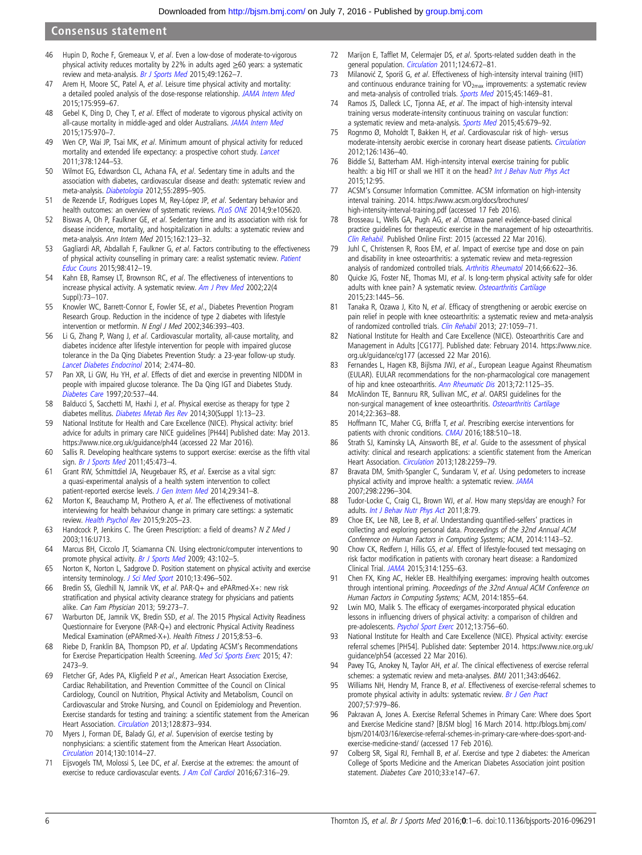#### <span id="page-5-0"></span>Consensus statement

- 46 Hupin D, Roche F, Gremeaux V, et al. Even a low-dose of moderate-to-vigorous physical activity reduces mortality by 22% in adults aged ≥60 years: a systematic review and meta-analysis. [Br J Sports Med](http://dx.doi.org/10.1136/bjsports-2014-094306) 2015;49:1262–7.
- 47 Arem H, Moore SC, Patel A, et al. Leisure time physical activity and mortality: a detailed pooled analysis of the dose-response relationship. [JAMA Intern Med](http://dx.doi.org/10.1001/jamainternmed.2015.0533) 2015;175:959–67.
- 48 Gebel K, Ding D, Chey T, et al. Effect of moderate to vigorous physical activity on all-cause mortality in middle-aged and older Australians. [JAMA Intern Med](http://dx.doi.org/10.1001/jamainternmed.2015.0541) 2015;175:970–7.
- 49 Wen CP, Wai JP, Tsai MK, et al. Minimum amount of physical activity for reduced mortality and extended life expectancy: a prospective cohort study. [Lancet](http://dx.doi.org/10.1016/S0140-6736(11)60749-6) 2011;378:1244–53.
- 50 Wilmot EG, Edwardson CL, Achana FA, et al. Sedentary time in adults and the association with diabetes, cardiovascular disease and death: systematic review and meta-analysis. [Diabetologia](http://dx.doi.org/10.1007/s00125-012-2677-z) 2012;55:2895–905.
- 51 de Rezende LF, Rodrigues Lopes M, Rey-López JP, et al. Sedentary behavior and health outcomes: an overview of systematic reviews. [PLoS ONE](http://dx.doi.org/10.1371/journal.pone.0105620) 2014;9:e105620.
- 52 Biswas A, Oh P, Faulkner GE, et al. Sedentary time and its association with risk for disease incidence, mortality, and hospitalization in adults: a systematic review and meta-analysis. Ann Intern Med 2015;162:123–32.
- 53 Gagliardi AR, Abdallah F, Faulkner G, et al. Factors contributing to the effectiveness of physical activity counselling in primary care: a realist systematic review. [Patient](http://dx.doi.org/10.1016/j.pec.2014.11.020) [Educ Couns](http://dx.doi.org/10.1016/j.pec.2014.11.020) 2015;98:412–19.
- 54 Kahn EB, Ramsey LT, Brownson RC, et al. The effectiveness of interventions to increase physical activity. A systematic review. [Am J Prev Med](http://dx.doi.org/10.1016/S0749-3797(02)00434-8) 2002;22(4 Suppl):73–107.
- 55 Knowler WC, Barrett-Connor E, Fowler SE, et al., Diabetes Prevention Program Research Group. Reduction in the incidence of type 2 diabetes with lifestyle intervention or metformin. N Engl J Med 2002;346:393–403.
- 56 Li G, Zhang P, Wang J, et al. Cardiovascular mortality, all-cause mortality, and diabetes incidence after lifestyle intervention for people with impaired glucose tolerance in the Da Qing Diabetes Prevention Study: a 23-year follow-up study. [Lancet Diabetes Endocrinol](http://dx.doi.org/10.1016/S2213-8587(14)70057-9) 2014; 2:474–80.
- 57 Pan XR, Li GW, Hu YH, et al. Effects of diet and exercise in preventing NIDDM in people with impaired glucose tolerance. The Da Qing IGT and Diabetes Study. [Diabetes Care](http://dx.doi.org/10.2337/diacare.20.4.537) 1997;20:537–44.
- 58 Balducci S, Sacchetti M, Haxhi J, et al. Physical exercise as therapy for type 2 diabetes mellitus. [Diabetes Metab Res Rev](http://dx.doi.org/10.1002/dmrr.2514) 2014;30(Suppl 1):13-23.
- 59 National Institute for Health and Care Excellence (NICE). Physical activity: brief advice for adults in primary care NICE guidelines [PH44] Published date: May 2013. <https://www.nice.org.uk/guidance/ph44> (accessed 22 Mar 2016).
- 60 Sallis R. Developing healthcare systems to support exercise: exercise as the fifth vital sign. [Br J Sports Med](http://dx.doi.org/10.1136/bjsm.2010.083469) 2011;45:473–4.
- 61 Grant RW, Schmittdiel JA, Neugebauer RS, et al. Exercise as a vital sign: a quasi-experimental analysis of a health system intervention to collect patient-reported exercise levels. [J Gen Intern Med](http://dx.doi.org/10.1007/s11606-013-2693-9) 2014;29:341-8.
- 62 Morton K, Beauchamp M, Prothero A, et al. The effectiveness of motivational interviewing for health behaviour change in primary care settings: a systematic review. [Health Psychol Rev](http://dx.doi.org/10.1080/17437199.2014.882006) 2015;9:205-23.
- 63 Handcock P, Jenkins C. The Green Prescription: a field of dreams? N Z Med J 2003;116:U713.
- 64 Marcus BH, Ciccolo JT, Sciamanna CN. Using electronic/computer interventions to promote physical activity. [Br J Sports Med](http://dx.doi.org/10.1136/bjsm.2008.053744) 2009; 43:102-5.
- 65 Norton K, Norton L, Sadgrove D. Position statement on physical activity and exercise intensity terminology. [J Sci Med Sport](http://dx.doi.org/10.1016/j.jsams.2009.09.008) 2010;13:496-502.
- 66 Bredin SS, Gledhill N, Jamnik VK, et al. PAR-Q+ and ePARmed-X+: new risk stratification and physical activity clearance strategy for physicians and patients alike. Can Fam Physician 2013; 59:273–7.
- 67 Warburton DE, Jamnik VK, Bredin SSD, et al. The 2015 Physical Activity Readiness Questionnaire for Everyone (PAR-Q+) and electronic Physical Activity Readiness Medical Examination (ePARmed-X+). Health Fitness J 2015;8:53–6.
- 68 Riebe D, Franklin BA, Thompson PD, et al. Updating ACSM's Recommendations for Exercise Preparticipation Health Screening. [Med Sci Sports Exerc](http://dx.doi.org/10.1249/MSS.0000000000000664) 2015; 47: 2473–9.
- 69 Fletcher GF, Ades PA, Kligfield P et al., American Heart Association Exercise, Cardiac Rehabilitation, and Prevention Committee of the Council on Clinical Cardiology, Council on Nutrition, Physical Activity and Metabolism, Council on Cardiovascular and Stroke Nursing, and Council on Epidemiology and Prevention. Exercise standards for testing and training: a scientific statement from the American Heart Association. [Circulation](http://dx.doi.org/10.1161/CIR.0b013e31829b5b44) 2013;128:873-934.
- 70 Myers J, Forman DE, Balady GJ, et al. Supervision of exercise testing by nonphysicians: a scientific statement from the American Heart Association. [Circulation](http://dx.doi.org/10.1161/CIR.0000000000000101) 2014;130:1014–27.
- 71 Eijsvogels TM, Molossi S, Lee DC, et al. Exercise at the extremes: the amount of exercise to reduce cardiovascular events. [J Am Coll Cardiol](http://dx.doi.org/10.1016/j.jacc.2015.11.034) 2016;67:316-29.
- 72 Marijon E, Tafflet M, Celermajer DS, et al. Sports-related sudden death in the general population. [Circulation](http://dx.doi.org/10.1161/CIRCULATIONAHA.110.008979) 2011;124:672-81.
- 73 Milanović Z, Sporiš G, et al. Effectiveness of high-intensity interval training (HIT) and continuous endurance training for  $VO_{2max}$  improvements: a systematic review and meta-analysis of controlled trials. [Sports Med](http://dx.doi.org/10.1007/s40279-015-0365-0) 2015;45:1469-81.
- 74 Ramos JS, Dalleck LC, Tjonna AE, et al. The impact of high-intensity interval training versus moderate-intensity continuous training on vascular function: a systematic review and meta-analysis. [Sports Med](http://dx.doi.org/10.1007/s40279-015-0321-z) 2015;45:679–92.
- 75 Rognmo Ø, Moholdt T, Bakken H, et al. Cardiovascular risk of high- versus moderate-intensity aerobic exercise in coronary heart disease patients. [Circulation](http://dx.doi.org/10.1161/CIRCULATIONAHA.112.123117) 2012;126:1436–40.
- 76 Biddle SJ, Batterham AM. High-intensity interval exercise training for public health: a big HIT or shall we HIT it on the head? [Int J Behav Nutr Phys Act](http://dx.doi.org/10.1186/s12966-015-0254-9) 2015;12:95.
- 77 ACSM's Consumer Information Committee. ACSM information on high-intensity interval training. 2014. [https://www.acsm.org/docs/brochures/](https://www.acsm.org/docs/brochures/high-intensity-interval-training.pdf) [high-intensity-interval-training.pdf](https://www.acsm.org/docs/brochures/high-intensity-interval-training.pdf) (accessed 17 Feb 2016).
- 78 Brosseau L, Wells GA, Pugh AG, et al. Ottawa panel evidence-based clinical practice guidelines for therapeutic exercise in the management of hip osteoarthritis. [Clin Rehabil.](http://dx.doi.org/10.1177/0269215515606198) Published Online First: 2015 (accessed 22 Mar 2016).
- 79 Juhl C, Christensen R, Roos EM, et al. Impact of exercise type and dose on pain and disability in knee osteoarthritis: a systematic review and meta-regression analysis of randomized controlled trials. [Arthritis Rheumatol](http://dx.doi.org/10.1002/art.38290) 2014;66:622-36.
- 80 Quicke JG, Foster NE, Thomas MJ, et al. Is long-term physical activity safe for older adults with knee pain? A systematic review. [Osteoarthritis Cartilage](http://dx.doi.org/10.1016/j.joca.2015.05.002) 2015;23:1445–56.
- 81 Tanaka R, Ozawa J, Kito N, et al. Efficacy of strengthening or aerobic exercise on pain relief in people with knee osteoarthritis: a systematic review and meta-analysis of randomized controlled trials. [Clin Rehabil](http://dx.doi.org/10.1177/0269215513488898) 2013; 27:1059-71.
- National Institute for Health and Care Excellence (NICE). Osteoarthritis Care and Management in Adults [CG177]. Published date: February 2014. [https://www.nice.](https://www.nice.org.uk/guidance/cg177) [org.uk/guidance/cg177](https://www.nice.org.uk/guidance/cg177) (accessed 22 Mar 2016).
- 83 Fernandes L, Hagen KB, Bijlsma JWJ, et al., European League Against Rheumatism (EULAR). EULAR recommendations for the non-pharmacological core management of hip and knee osteoarthritis. [Ann Rheumatic Dis](http://dx.doi.org/10.1136/annrheumdis-2012-202745) 2013;72:1125–35.
- 84 McAlindon TE, Bannuru RR, Sullivan MC, et al. OARSI guidelines for the non-surgical management of knee osteoarthritis. [Osteoarthritis Cartilage](http://dx.doi.org/10.1016/j.joca.2014.01.003) 2014;22:363–88.
- 85 Hoffmann TC, Maher CG, Briffa T, et al. Prescribing exercise interventions for patients with chronic conditions. [CMAJ](http://dx.doi.org/10.1503/cmaj.150684) 2016;188:510-18.
- 86 Strath SJ, Kaminsky LA, Ainsworth BE, et al. Guide to the assessment of physical activity: clinical and research applications: a scientific statement from the American Heart Association. [Circulation](http://dx.doi.org/10.1161/01.cir.0000435708.67487.da) 2013;128:2259-79.
- 87 Bravata DM, Smith-Spangler C, Sundaram V, et al. Using pedometers to increase physical activity and improve health: a systematic review. [JAMA](http://dx.doi.org/10.1001/jama.298.19.2296) 2007;298:2296–304.
- 88 Tudor-Locke C, Craig CL, Brown WJ, et al. How many steps/day are enough? For adults. [Int J Behav Nutr Phys Act](http://dx.doi.org/10.1186/1479-5868-8-79) 2011;8:79.
- 89 Choe EK, Lee NB, Lee B, et al. Understanding quantified-selfers' practices in collecting and exploring personal data. Proceedings of the 32nd Annual ACM Conference on Human Factors in Computing Systems; ACM, 2014:1143–52.
- 90 Chow CK, Redfern J, Hillis GS, et al. Effect of lifestyle-focused text messaging on risk factor modification in patients with coronary heart disease: a Randomized Clinical Trial. [JAMA](http://dx.doi.org/10.1001/jama.2015.10945) 2015;314:1255–63.
- 91 Chen FX, King AC, Hekler EB. Healthifying exergames: improving health outcomes through intentional priming. Proceedings of the 32nd Annual ACM Conference on Human Factors in Computing Systems; ACM, 2014:1855–64.
- 92 Lwin MO, Malik S. The efficacy of exergames-incorporated physical education lessons in influencing drivers of physical activity: a comparison of children and pre-adolescents. [Psychol Sport Exerc](http://dx.doi.org/10.1016/j.psychsport.2012.04.013) 2012;13:756-60.
- 93 National Institute for Health and Care Excellence (NICE). Physical activity: exercise referral schemes [PH54]. Published date: September 2014. [https://www.nice.org.uk/](https://www.nice.org.uk/guidance/ph54) [guidance/ph54](https://www.nice.org.uk/guidance/ph54) (accessed 22 Mar 2016).
- 94 Pavey TG, Anokey N, Taylor AH, et al. The clinical effectiveness of exercise referral schemes: a systematic review and meta-analyses. BMJ 2011;343:d6462.
- 95 Williams NH, Hendry M, France B, et al. Effectiveness of exercise-referral schemes to promote physical activity in adults: systematic review. [Br J Gen Pract](http://dx.doi.org/10.3399/096016407782604866) 2007;57:979–86.
- 96 Pakravan A, Jones A. Exercise Referral Schemes in Primary Care: Where does Sport and Exercise Medicine stand? [BJSM blog] 16 March 2014. [http://blogs.bmj.com/](http://blogs.bmj.com/bjsm/2014/03/16/exercise-referral-schemes-in-primary-care-where-does-sport-and-exercise-medicine-stand/) [bjsm/2014/03/16/exercise-referral-schemes-in-primary-care-where-does-sport-and](http://blogs.bmj.com/bjsm/2014/03/16/exercise-referral-schemes-in-primary-care-where-does-sport-and-exercise-medicine-stand/)[exercise-medicine-stand/](http://blogs.bmj.com/bjsm/2014/03/16/exercise-referral-schemes-in-primary-care-where-does-sport-and-exercise-medicine-stand/) (accessed 17 Feb 2016).
- 97 Colberg SR, Sigal RJ, Fernhall B, et al. Exercise and type 2 diabetes: the American College of Sports Medicine and the American Diabetes Association joint position statement. Diabetes Care 2010;33:e147–67.